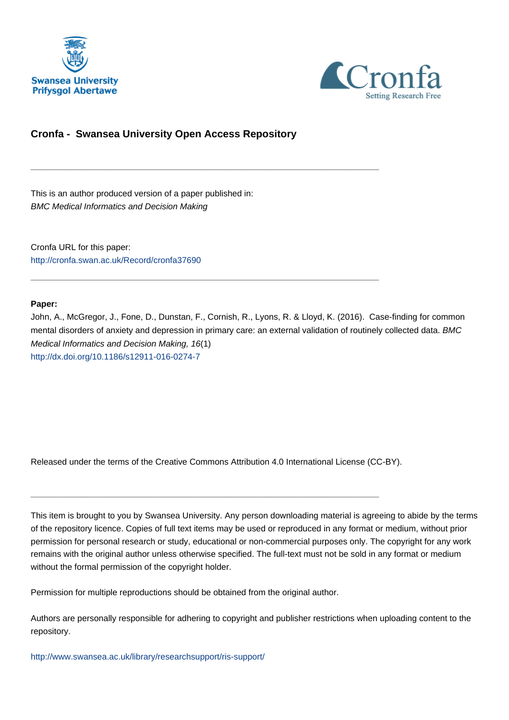



# **Cronfa - Swansea University Open Access Repository**

\_\_\_\_\_\_\_\_\_\_\_\_\_\_\_\_\_\_\_\_\_\_\_\_\_\_\_\_\_\_\_\_\_\_\_\_\_\_\_\_\_\_\_\_\_\_\_\_\_\_\_\_\_\_\_\_\_\_\_\_\_

\_\_\_\_\_\_\_\_\_\_\_\_\_\_\_\_\_\_\_\_\_\_\_\_\_\_\_\_\_\_\_\_\_\_\_\_\_\_\_\_\_\_\_\_\_\_\_\_\_\_\_\_\_\_\_\_\_\_\_\_\_

This is an author produced version of a paper published in: BMC Medical Informatics and Decision Making

Cronfa URL for this paper: <http://cronfa.swan.ac.uk/Record/cronfa37690>

# **Paper:**

John, A., McGregor, J., Fone, D., Dunstan, F., Cornish, R., Lyons, R. & Lloyd, K. (2016). Case-finding for common mental disorders of anxiety and depression in primary care: an external validation of routinely collected data. BMC Medical Informatics and Decision Making, 16(1) <http://dx.doi.org/10.1186/s12911-016-0274-7>

Released under the terms of the Creative Commons Attribution 4.0 International License (CC-BY).

\_\_\_\_\_\_\_\_\_\_\_\_\_\_\_\_\_\_\_\_\_\_\_\_\_\_\_\_\_\_\_\_\_\_\_\_\_\_\_\_\_\_\_\_\_\_\_\_\_\_\_\_\_\_\_\_\_\_\_\_\_

This item is brought to you by Swansea University. Any person downloading material is agreeing to abide by the terms of the repository licence. Copies of full text items may be used or reproduced in any format or medium, without prior permission for personal research or study, educational or non-commercial purposes only. The copyright for any work remains with the original author unless otherwise specified. The full-text must not be sold in any format or medium without the formal permission of the copyright holder.

Permission for multiple reproductions should be obtained from the original author.

Authors are personally responsible for adhering to copyright and publisher restrictions when uploading content to the repository.

[http://www.swansea.ac.uk/library/researchsupport/ris-support/](http://www.swansea.ac.uk/library/researchsupport/ris-support/ )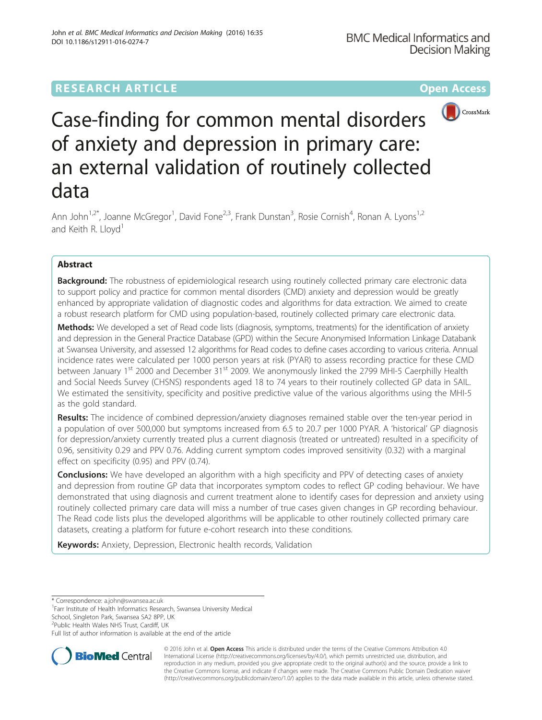# **RESEARCH ARTICLE Example 2014 12:30 The Community Community Community Community Community Community Community**



# Case-finding for common mental disorders of anxiety and depression in primary care: an external validation of routinely collected data

Ann John<sup>1,2\*</sup>, Joanne McGregor<sup>1</sup>, David Fone<sup>2,3</sup>, Frank Dunstan<sup>3</sup>, Rosie Cornish<sup>4</sup>, Ronan A. Lyons<sup>1,2</sup> and Keith R. Lloyd<sup>1</sup>

# Abstract

**Background:** The robustness of epidemiological research using routinely collected primary care electronic data to support policy and practice for common mental disorders (CMD) anxiety and depression would be greatly enhanced by appropriate validation of diagnostic codes and algorithms for data extraction. We aimed to create a robust research platform for CMD using population-based, routinely collected primary care electronic data.

Methods: We developed a set of Read code lists (diagnosis, symptoms, treatments) for the identification of anxiety and depression in the General Practice Database (GPD) within the Secure Anonymised Information Linkage Databank at Swansea University, and assessed 12 algorithms for Read codes to define cases according to various criteria. Annual incidence rates were calculated per 1000 person years at risk (PYAR) to assess recording practice for these CMD between January 1<sup>st</sup> 2000 and December 31<sup>st</sup> 2009. We anonymously linked the 2799 MHI-5 Caerphilly Health and Social Needs Survey (CHSNS) respondents aged 18 to 74 years to their routinely collected GP data in SAIL. We estimated the sensitivity, specificity and positive predictive value of the various algorithms using the MHI-5 as the gold standard.

Results: The incidence of combined depression/anxiety diagnoses remained stable over the ten-year period in a population of over 500,000 but symptoms increased from 6.5 to 20.7 per 1000 PYAR. A 'historical' GP diagnosis for depression/anxiety currently treated plus a current diagnosis (treated or untreated) resulted in a specificity of 0.96, sensitivity 0.29 and PPV 0.76. Adding current symptom codes improved sensitivity (0.32) with a marginal effect on specificity (0.95) and PPV (0.74).

**Conclusions:** We have developed an algorithm with a high specificity and PPV of detecting cases of anxiety and depression from routine GP data that incorporates symptom codes to reflect GP coding behaviour. We have demonstrated that using diagnosis and current treatment alone to identify cases for depression and anxiety using routinely collected primary care data will miss a number of true cases given changes in GP recording behaviour. The Read code lists plus the developed algorithms will be applicable to other routinely collected primary care datasets, creating a platform for future e-cohort research into these conditions.

Keywords: Anxiety, Depression, Electronic health records, Validation

\* Correspondence: a.john@swansea.ac.uk <sup>1</sup>

<sup>1</sup>Farr Institute of Health Informatics Research, Swansea University Medical

School, Singleton Park, Swansea SA2 8PP, UK

<sup>2</sup>Public Health Wales NHS Trust, Cardiff, UK

Full list of author information is available at the end of the article



© 2016 John et al. Open Access This article is distributed under the terms of the Creative Commons Attribution 4.0 International License (http://creativecommons.org/licenses/by/4.0/), which permits unrestricted use, distribution, and reproduction in any medium, provided you give appropriate credit to the original author(s) and the source, provide a link to the Creative Commons license, and indicate if changes were made. The Creative Commons Public Domain Dedication waiver (http://creativecommons.org/publicdomain/zero/1.0/) applies to the data made available in this article, unless otherwise stated.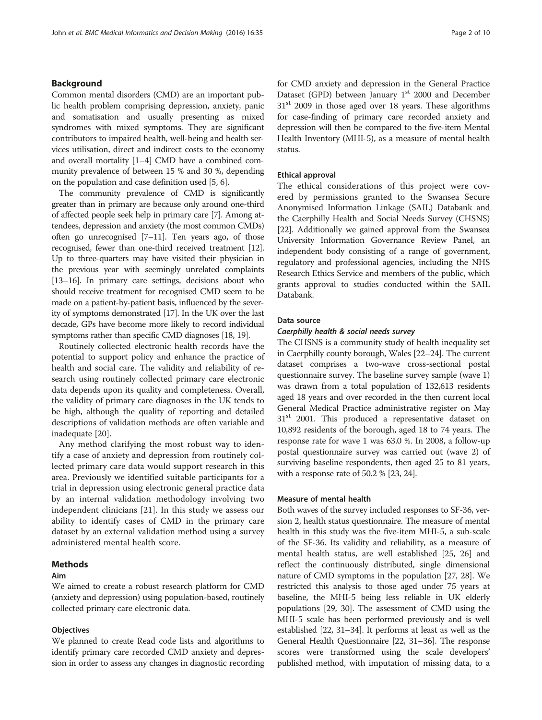# Background

Common mental disorders (CMD) are an important public health problem comprising depression, anxiety, panic and somatisation and usually presenting as mixed syndromes with mixed symptoms. They are significant contributors to impaired health, well-being and health services utilisation, direct and indirect costs to the economy and overall mortality [1–4] CMD have a combined community prevalence of between 15 % and 30 %, depending on the population and case definition used [5, 6].

The community prevalence of CMD is significantly greater than in primary are because only around one-third of affected people seek help in primary care [7]. Among attendees, depression and anxiety (the most common CMDs) often go unrecognised [7–11]. Ten years ago, of those recognised, fewer than one-third received treatment [12]. Up to three-quarters may have visited their physician in the previous year with seemingly unrelated complaints [13–16]. In primary care settings, decisions about who should receive treatment for recognised CMD seem to be made on a patient-by-patient basis, influenced by the severity of symptoms demonstrated [17]. In the UK over the last decade, GPs have become more likely to record individual symptoms rather than specific CMD diagnoses [18, 19].

Routinely collected electronic health records have the potential to support policy and enhance the practice of health and social care. The validity and reliability of research using routinely collected primary care electronic data depends upon its quality and completeness. Overall, the validity of primary care diagnoses in the UK tends to be high, although the quality of reporting and detailed descriptions of validation methods are often variable and inadequate [20].

Any method clarifying the most robust way to identify a case of anxiety and depression from routinely collected primary care data would support research in this area. Previously we identified suitable participants for a trial in depression using electronic general practice data by an internal validation methodology involving two independent clinicians [21]. In this study we assess our ability to identify cases of CMD in the primary care dataset by an external validation method using a survey administered mental health score.

# Methods

# Aim

We aimed to create a robust research platform for CMD (anxiety and depression) using population-based, routinely collected primary care electronic data.

# **Objectives**

We planned to create Read code lists and algorithms to identify primary care recorded CMD anxiety and depression in order to assess any changes in diagnostic recording for CMD anxiety and depression in the General Practice Dataset (GPD) between January  $1<sup>st</sup>$  2000 and December  $31<sup>st</sup>$  2009 in those aged over 18 years. These algorithms for case-finding of primary care recorded anxiety and depression will then be compared to the five-item Mental Health Inventory (MHI-5), as a measure of mental health status.

#### Ethical approval

The ethical considerations of this project were covered by permissions granted to the Swansea Secure Anonymised Information Linkage (SAIL) Databank and the Caerphilly Health and Social Needs Survey (CHSNS) [22]. Additionally we gained approval from the Swansea University Information Governance Review Panel, an independent body consisting of a range of government, regulatory and professional agencies, including the NHS Research Ethics Service and members of the public, which grants approval to studies conducted within the SAIL Databank.

#### Data source

# Caerphilly health & social needs survey

The CHSNS is a community study of health inequality set in Caerphilly county borough, Wales [22–24]. The current dataset comprises a two-wave cross-sectional postal questionnaire survey. The baseline survey sample (wave 1) was drawn from a total population of 132,613 residents aged 18 years and over recorded in the then current local General Medical Practice administrative register on May  $31<sup>st</sup>$  2001. This produced a representative dataset on 10,892 residents of the borough, aged 18 to 74 years. The response rate for wave 1 was 63.0 %. In 2008, a follow-up postal questionnaire survey was carried out (wave 2) of surviving baseline respondents, then aged 25 to 81 years, with a response rate of 50.2 % [23, 24].

# Measure of mental health

Both waves of the survey included responses to SF-36, version 2, health status questionnaire. The measure of mental health in this study was the five-item MHI-5, a sub-scale of the SF-36. Its validity and reliability, as a measure of mental health status, are well established [25, 26] and reflect the continuously distributed, single dimensional nature of CMD symptoms in the population [27, 28]. We restricted this analysis to those aged under 75 years at baseline, the MHI-5 being less reliable in UK elderly populations [29, 30]. The assessment of CMD using the MHI-5 scale has been performed previously and is well established [22, 31–34]. It performs at least as well as the General Health Questionnaire [22, 31–36]. The response scores were transformed using the scale developers' published method, with imputation of missing data, to a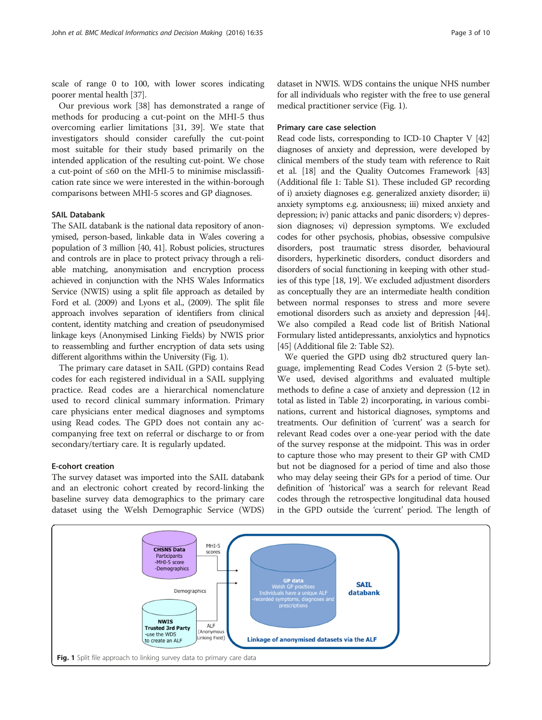scale of range 0 to 100, with lower scores indicating poorer mental health [37].

Our previous work [38] has demonstrated a range of methods for producing a cut-point on the MHI-5 thus overcoming earlier limitations [31, 39]. We state that investigators should consider carefully the cut-point most suitable for their study based primarily on the intended application of the resulting cut-point. We chose a cut-point of ≤60 on the MHI-5 to minimise misclassification rate since we were interested in the within-borough comparisons between MHI-5 scores and GP diagnoses.

## SAIL Databank

The SAIL databank is the national data repository of anonymised, person-based, linkable data in Wales covering a population of 3 million [40, 41]. Robust policies, structures and controls are in place to protect privacy through a reliable matching, anonymisation and encryption process achieved in conjunction with the NHS Wales Informatics Service (NWIS) using a split file approach as detailed by Ford et al. (2009) and Lyons et al., (2009). The split file approach involves separation of identifiers from clinical content, identity matching and creation of pseudonymised linkage keys (Anonymised Linking Fields) by NWIS prior to reassembling and further encryption of data sets using different algorithms within the University (Fig. 1).

The primary care dataset in SAIL (GPD) contains Read codes for each registered individual in a SAIL supplying practice. Read codes are a hierarchical nomenclature used to record clinical summary information. Primary care physicians enter medical diagnoses and symptoms using Read codes. The GPD does not contain any accompanying free text on referral or discharge to or from secondary/tertiary care. It is regularly updated.

# E-cohort creation

The survey dataset was imported into the SAIL databank and an electronic cohort created by record-linking the baseline survey data demographics to the primary care dataset using the Welsh Demographic Service (WDS)

dataset in NWIS. WDS contains the unique NHS number for all individuals who register with the free to use general medical practitioner service (Fig. 1).

# Primary care case selection

Read code lists, corresponding to ICD-10 Chapter V [42] diagnoses of anxiety and depression, were developed by clinical members of the study team with reference to Rait et al. [18] and the Quality Outcomes Framework [43] (Additional file 1: Table S1). These included GP recording of i) anxiety diagnoses e.g. generalized anxiety disorder; ii) anxiety symptoms e.g. anxiousness; iii) mixed anxiety and depression; iv) panic attacks and panic disorders; v) depression diagnoses; vi) depression symptoms. We excluded codes for other psychosis, phobias, obsessive compulsive disorders, post traumatic stress disorder, behavioural disorders, hyperkinetic disorders, conduct disorders and disorders of social functioning in keeping with other studies of this type [18, 19]. We excluded adjustment disorders as conceptually they are an intermediate health condition between normal responses to stress and more severe emotional disorders such as anxiety and depression [44]. We also compiled a Read code list of British National Formulary listed antidepressants, anxiolytics and hypnotics [45] (Additional file 2: Table S2).

We queried the GPD using db2 structured query language, implementing Read Codes Version 2 (5-byte set). We used, devised algorithms and evaluated multiple methods to define a case of anxiety and depression (12 in total as listed in Table 2) incorporating, in various combinations, current and historical diagnoses, symptoms and treatments. Our definition of 'current' was a search for relevant Read codes over a one-year period with the date of the survey response at the midpoint. This was in order to capture those who may present to their GP with CMD but not be diagnosed for a period of time and also those who may delay seeing their GPs for a period of time. Our definition of 'historical' was a search for relevant Read codes through the retrospective longitudinal data housed in the GPD outside the 'current' period. The length of

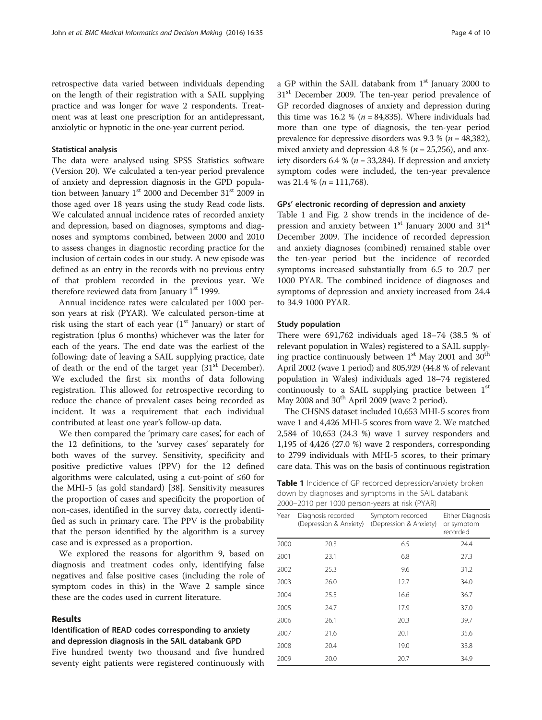retrospective data varied between individuals depending on the length of their registration with a SAIL supplying practice and was longer for wave 2 respondents. Treatment was at least one prescription for an antidepressant, anxiolytic or hypnotic in the one-year current period.

#### Statistical analysis

The data were analysed using SPSS Statistics software (Version 20). We calculated a ten-year period prevalence of anxiety and depression diagnosis in the GPD population between January 1<sup>st</sup> 2000 and December 31<sup>st</sup> 2009 in those aged over 18 years using the study Read code lists. We calculated annual incidence rates of recorded anxiety and depression, based on diagnoses, symptoms and diagnoses and symptoms combined, between 2000 and 2010 to assess changes in diagnostic recording practice for the inclusion of certain codes in our study. A new episode was defined as an entry in the records with no previous entry of that problem recorded in the previous year. We therefore reviewed data from January  $1<sup>st</sup>$  1999.

Annual incidence rates were calculated per 1000 person years at risk (PYAR). We calculated person-time at risk using the start of each year  $(1<sup>st</sup>$  January) or start of registration (plus 6 months) whichever was the later for each of the years. The end date was the earliest of the following: date of leaving a SAIL supplying practice, date of death or the end of the target year  $(31<sup>st</sup> December)$ . We excluded the first six months of data following registration. This allowed for retrospective recording to reduce the chance of prevalent cases being recorded as incident. It was a requirement that each individual contributed at least one year's follow-up data.

We then compared the 'primary care cases', for each of the 12 definitions, to the 'survey cases' separately for both waves of the survey. Sensitivity, specificity and positive predictive values (PPV) for the 12 defined algorithms were calculated, using a cut-point of ≤60 for the MHI-5 (as gold standard) [38]. Sensitivity measures the proportion of cases and specificity the proportion of non-cases, identified in the survey data, correctly identified as such in primary care. The PPV is the probability that the person identified by the algorithm is a survey case and is expressed as a proportion.

We explored the reasons for algorithm 9, based on diagnosis and treatment codes only, identifying false negatives and false positive cases (including the role of symptom codes in this) in the Wave 2 sample since these are the codes used in current literature.

# Results

# Identification of READ codes corresponding to anxiety and depression diagnosis in the SAIL databank GPD

Five hundred twenty two thousand and five hundred seventy eight patients were registered continuously with a GP within the SAIL databank from 1<sup>st</sup> January 2000 to 31<sup>st</sup> December 2009. The ten-year period prevalence of GP recorded diagnoses of anxiety and depression during this time was 16.2 % ( $n = 84,835$ ). Where individuals had more than one type of diagnosis, the ten-year period prevalence for depressive disorders was 9.3 % ( $n = 48,382$ ), mixed anxiety and depression 4.8 % ( $n = 25,256$ ), and anxiety disorders 6.4 % ( $n = 33,284$ ). If depression and anxiety symptom codes were included, the ten-year prevalence was 21.4 % ( $n = 111,768$ ).

# GPs' electronic recording of depression and anxiety

Table 1 and Fig. 2 show trends in the incidence of depression and anxiety between  $1<sup>st</sup>$  January 2000 and 31 $<sup>st</sup>$ </sup> December 2009. The incidence of recorded depression and anxiety diagnoses (combined) remained stable over the ten-year period but the incidence of recorded symptoms increased substantially from 6.5 to 20.7 per 1000 PYAR. The combined incidence of diagnoses and symptoms of depression and anxiety increased from 24.4 to 34.9 1000 PYAR.

# Study population

There were 691,762 individuals aged 18–74 (38.5 % of relevant population in Wales) registered to a SAIL supplying practice continuously between  $1<sup>st</sup>$  May 2001 and 30<sup>th</sup> April 2002 (wave 1 period) and 805,929 (44.8 % of relevant population in Wales) individuals aged 18–74 registered continuously to a SAIL supplying practice between 1<sup>st</sup> May 2008 and  $30<sup>th</sup>$  April 2009 (wave 2 period).

The CHSNS dataset included 10,653 MHI-5 scores from wave 1 and 4,426 MHI-5 scores from wave 2. We matched 2,584 of 10,653 (24.3 %) wave 1 survey responders and 1,195 of 4,426 (27.0 %) wave 2 responders, corresponding to 2799 individuals with MHI-5 scores, to their primary care data. This was on the basis of continuous registration

Table 1 Incidence of GP recorded depression/anxiety broken down by diagnoses and symptoms in the SAIL databank 2000–2010 per 1000 person-years at risk (PYAR)

| Year | Diagnosis recorded<br>(Depression & Anxiety) | Symptom recorded<br>(Depression & Anxiety) | Either Diagnosis<br>or symptom<br>recorded |
|------|----------------------------------------------|--------------------------------------------|--------------------------------------------|
| 2000 | 20.3                                         | 6.5                                        | 24.4                                       |
| 2001 | 23.1                                         | 6.8                                        | 27.3                                       |
| 2002 | 25.3                                         | 9.6                                        | 31.2                                       |
| 2003 | 26.0                                         | 12.7                                       | 34.0                                       |
| 2004 | 25.5                                         | 16.6                                       | 36.7                                       |
| 2005 | 24.7                                         | 17.9                                       | 37.0                                       |
| 2006 | 26.1                                         | 20.3                                       | 39.7                                       |
| 2007 | 21.6                                         | 20.1                                       | 35.6                                       |
| 2008 | 20.4                                         | 19.0                                       | 33.8                                       |
| 2009 | 20.0                                         | 20.7                                       | 34.9                                       |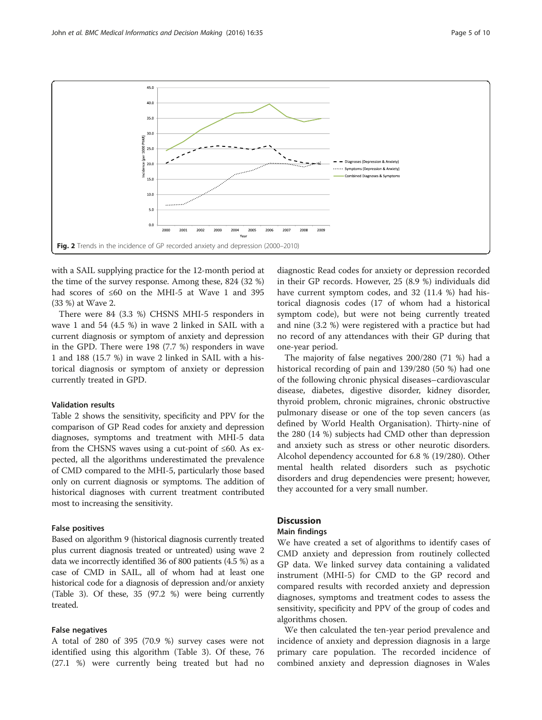

with a SAIL supplying practice for the 12-month period at the time of the survey response. Among these, 824 (32 %) had scores of ≤60 on the MHI-5 at Wave 1 and 395 (33 %) at Wave 2.

There were 84 (3.3 %) CHSNS MHI-5 responders in wave 1 and 54 (4.5 %) in wave 2 linked in SAIL with a current diagnosis or symptom of anxiety and depression in the GPD. There were 198 (7.7 %) responders in wave 1 and 188 (15.7 %) in wave 2 linked in SAIL with a historical diagnosis or symptom of anxiety or depression currently treated in GPD.

#### Validation results

Table 2 shows the sensitivity, specificity and PPV for the comparison of GP Read codes for anxiety and depression diagnoses, symptoms and treatment with MHI-5 data from the CHSNS waves using a cut-point of  $\leq 60$ . As expected, all the algorithms underestimated the prevalence of CMD compared to the MHI-5, particularly those based only on current diagnosis or symptoms. The addition of historical diagnoses with current treatment contributed most to increasing the sensitivity.

#### False positives

Based on algorithm 9 (historical diagnosis currently treated plus current diagnosis treated or untreated) using wave 2 data we incorrectly identified 36 of 800 patients (4.5 %) as a case of CMD in SAIL, all of whom had at least one historical code for a diagnosis of depression and/or anxiety (Table 3). Of these, 35 (97.2 %) were being currently treated.

### False negatives

A total of 280 of 395 (70.9 %) survey cases were not identified using this algorithm (Table 3). Of these, 76 (27.1 %) were currently being treated but had no

diagnostic Read codes for anxiety or depression recorded in their GP records. However, 25 (8.9 %) individuals did have current symptom codes, and 32 (11.4 %) had historical diagnosis codes (17 of whom had a historical symptom code), but were not being currently treated and nine (3.2 %) were registered with a practice but had no record of any attendances with their GP during that one-year period.

The majority of false negatives 200/280 (71 %) had a historical recording of pain and 139/280 (50 %) had one of the following chronic physical diseases–cardiovascular disease, diabetes, digestive disorder, kidney disorder, thyroid problem, chronic migraines, chronic obstructive pulmonary disease or one of the top seven cancers (as defined by World Health Organisation). Thirty-nine of the 280 (14 %) subjects had CMD other than depression and anxiety such as stress or other neurotic disorders. Alcohol dependency accounted for 6.8 % (19/280). Other mental health related disorders such as psychotic disorders and drug dependencies were present; however, they accounted for a very small number.

# **Discussion**

#### Main findings

We have created a set of algorithms to identify cases of CMD anxiety and depression from routinely collected GP data. We linked survey data containing a validated instrument (MHI-5) for CMD to the GP record and compared results with recorded anxiety and depression diagnoses, symptoms and treatment codes to assess the sensitivity, specificity and PPV of the group of codes and algorithms chosen.

We then calculated the ten-year period prevalence and incidence of anxiety and depression diagnosis in a large primary care population. The recorded incidence of combined anxiety and depression diagnoses in Wales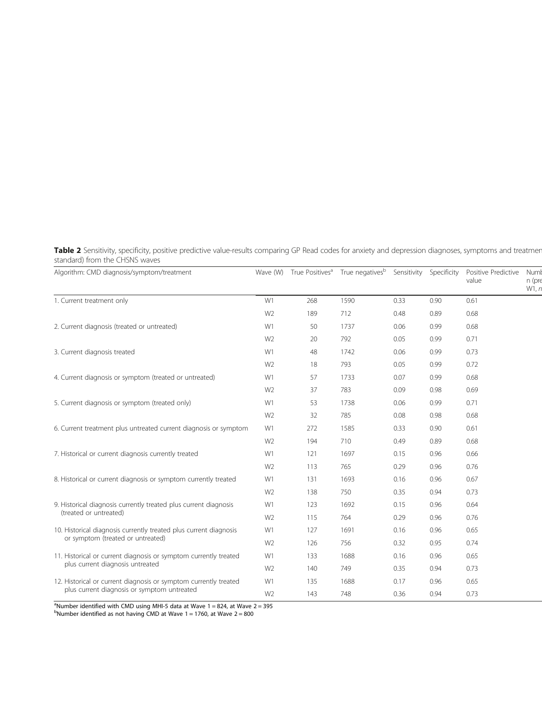Table 2 Sensitivity, specificity, positive predictive value-results comparing GP Read codes for anxiety and depression diagnoses, symptoms and treatmer standard) from the CHSNS waves

| Algorithm: CMD diagnosis/symptom/treatment                        |                                                                                                                                                                                                                                                                                                                                                                                                                                                                                                                                                                                                                                                                 |     | Wave (W) True Positives <sup>a</sup> True negatives <sup>b</sup> |      | Sensitivity Specificity | Positive Predictive<br>value | Numl<br>n (pre<br>W1, n |
|-------------------------------------------------------------------|-----------------------------------------------------------------------------------------------------------------------------------------------------------------------------------------------------------------------------------------------------------------------------------------------------------------------------------------------------------------------------------------------------------------------------------------------------------------------------------------------------------------------------------------------------------------------------------------------------------------------------------------------------------------|-----|------------------------------------------------------------------|------|-------------------------|------------------------------|-------------------------|
| 1. Current treatment only                                         | W1<br>1590<br>268<br>0.33<br>0.90<br>0.61<br>W <sub>2</sub><br>712<br>0.68<br>189<br>0.48<br>0.89<br>W1<br>1737<br>0.68<br>50<br>0.06<br>0.99<br>W <sub>2</sub><br>0.71<br>20<br>792<br>0.99<br>0.05<br>W1<br>0.73<br>48<br>1742<br>0.06<br>0.99<br>0.72<br>W <sub>2</sub><br>18<br>793<br>0.05<br>0.99<br>W1<br>0.68<br>57<br>1733<br>0.07<br>0.99<br>W <sub>2</sub><br>37<br>783<br>0.09<br>0.98<br>0.69<br>53<br>0.71<br>W1<br>1738<br>0.06<br>0.99<br>W <sub>2</sub><br>32<br>785<br>0.98<br>0.68<br>0.08<br>W1<br>0.61<br>272<br>1585<br>0.33<br>0.90<br>W <sub>2</sub><br>710<br>0.68<br>0.89<br>194<br>0.49<br>W1<br>1697<br>0.66<br>121<br>0.15<br>0.96 |     |                                                                  |      |                         |                              |                         |
|                                                                   |                                                                                                                                                                                                                                                                                                                                                                                                                                                                                                                                                                                                                                                                 |     |                                                                  |      |                         |                              |                         |
| 2. Current diagnosis (treated or untreated)                       |                                                                                                                                                                                                                                                                                                                                                                                                                                                                                                                                                                                                                                                                 |     |                                                                  |      |                         |                              |                         |
|                                                                   |                                                                                                                                                                                                                                                                                                                                                                                                                                                                                                                                                                                                                                                                 |     |                                                                  |      |                         |                              |                         |
| 3. Current diagnosis treated                                      |                                                                                                                                                                                                                                                                                                                                                                                                                                                                                                                                                                                                                                                                 |     |                                                                  |      |                         |                              |                         |
|                                                                   |                                                                                                                                                                                                                                                                                                                                                                                                                                                                                                                                                                                                                                                                 |     |                                                                  |      |                         |                              |                         |
| 4. Current diagnosis or symptom (treated or untreated)            |                                                                                                                                                                                                                                                                                                                                                                                                                                                                                                                                                                                                                                                                 |     |                                                                  |      |                         |                              |                         |
|                                                                   |                                                                                                                                                                                                                                                                                                                                                                                                                                                                                                                                                                                                                                                                 |     |                                                                  |      |                         |                              |                         |
| 5. Current diagnosis or symptom (treated only)                    |                                                                                                                                                                                                                                                                                                                                                                                                                                                                                                                                                                                                                                                                 |     |                                                                  |      |                         |                              |                         |
|                                                                   |                                                                                                                                                                                                                                                                                                                                                                                                                                                                                                                                                                                                                                                                 |     |                                                                  |      |                         |                              |                         |
| 6. Current treatment plus untreated current diagnosis or symptom  |                                                                                                                                                                                                                                                                                                                                                                                                                                                                                                                                                                                                                                                                 |     |                                                                  |      |                         |                              |                         |
|                                                                   |                                                                                                                                                                                                                                                                                                                                                                                                                                                                                                                                                                                                                                                                 |     |                                                                  |      |                         |                              |                         |
| 7. Historical or current diagnosis currently treated              |                                                                                                                                                                                                                                                                                                                                                                                                                                                                                                                                                                                                                                                                 |     |                                                                  |      |                         |                              |                         |
|                                                                   | W <sub>2</sub>                                                                                                                                                                                                                                                                                                                                                                                                                                                                                                                                                                                                                                                  | 113 | 765                                                              | 0.29 | 0.96                    | 0.76                         |                         |
| 8. Historical or current diagnosis or symptom currently treated   | W1                                                                                                                                                                                                                                                                                                                                                                                                                                                                                                                                                                                                                                                              | 131 | 1693                                                             | 0.16 | 0.96                    | 0.67                         |                         |
|                                                                   | W <sub>2</sub>                                                                                                                                                                                                                                                                                                                                                                                                                                                                                                                                                                                                                                                  | 138 | 750                                                              | 0.35 | 0.94                    | 0.73                         |                         |
| 9. Historical diagnosis currently treated plus current diagnosis  | W1                                                                                                                                                                                                                                                                                                                                                                                                                                                                                                                                                                                                                                                              | 123 | 1692                                                             | 0.15 | 0.96                    | 0.64                         |                         |
| (treated or untreated)                                            | W <sub>2</sub>                                                                                                                                                                                                                                                                                                                                                                                                                                                                                                                                                                                                                                                  | 115 | 764                                                              | 0.29 | 0.96                    | 0.76                         |                         |
| 10. Historical diagnosis currently treated plus current diagnosis | W1                                                                                                                                                                                                                                                                                                                                                                                                                                                                                                                                                                                                                                                              | 127 | 1691                                                             | 0.16 | 0.96                    | 0.65                         |                         |
| or symptom (treated or untreated)                                 | W <sub>2</sub>                                                                                                                                                                                                                                                                                                                                                                                                                                                                                                                                                                                                                                                  | 126 | 756                                                              | 0.32 | 0.95                    | 0.74                         |                         |
| 11. Historical or current diagnosis or symptom currently treated  | W1                                                                                                                                                                                                                                                                                                                                                                                                                                                                                                                                                                                                                                                              | 133 | 1688                                                             | 0.16 | 0.96                    | 0.65                         |                         |
| plus current diagnosis untreated                                  | W <sub>2</sub>                                                                                                                                                                                                                                                                                                                                                                                                                                                                                                                                                                                                                                                  | 140 | 749                                                              | 0.35 | 0.94                    | 0.73                         |                         |
| 12. Historical or current diagnosis or symptom currently treated  | W1                                                                                                                                                                                                                                                                                                                                                                                                                                                                                                                                                                                                                                                              | 135 | 1688                                                             | 0.17 | 0.96                    | 0.65                         |                         |
| plus current diagnosis or symptom untreated                       | W <sub>2</sub>                                                                                                                                                                                                                                                                                                                                                                                                                                                                                                                                                                                                                                                  | 143 | 748                                                              | 0.36 | 0.94                    | 0.73                         |                         |

<sup>a</sup>Number identified with CMD using MHI-5 data at Wave 1 = 824, at Wave 2 = 395<br><sup>b</sup>Number identified as not having CMD at Wave 1 = 1760, at Wave 2 = 800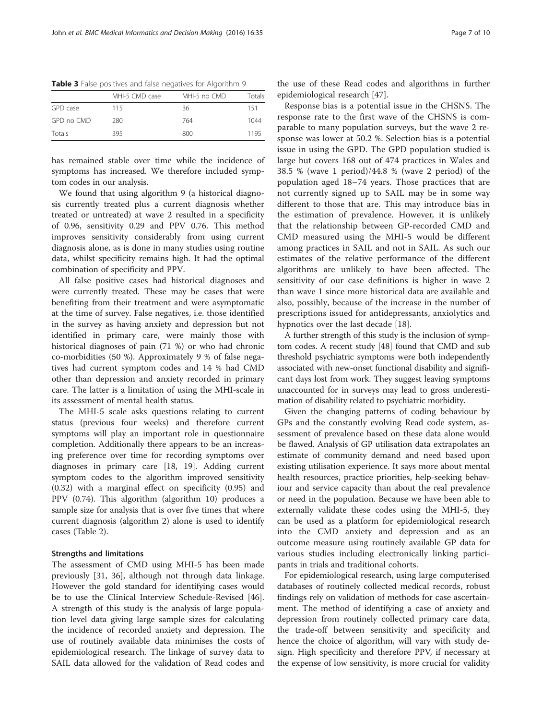|            | MHI-5 CMD case | MHI-5 no CMD | Totals |
|------------|----------------|--------------|--------|
| GPD case   | 115            | 36           | 151    |
| GPD no CMD | 280            | 764          | 1044   |
| Totals     | 395            | 800          | 1195   |

Table 3 False positives and false negatives for Algorithm 9

has remained stable over time while the incidence of symptoms has increased. We therefore included symptom codes in our analysis.

We found that using algorithm 9 (a historical diagnosis currently treated plus a current diagnosis whether treated or untreated) at wave 2 resulted in a specificity of 0.96, sensitivity 0.29 and PPV 0.76. This method improves sensitivity considerably from using current diagnosis alone, as is done in many studies using routine data, whilst specificity remains high. It had the optimal combination of specificity and PPV.

All false positive cases had historical diagnoses and were currently treated. These may be cases that were benefiting from their treatment and were asymptomatic at the time of survey. False negatives, i.e. those identified in the survey as having anxiety and depression but not identified in primary care, were mainly those with historical diagnoses of pain (71 %) or who had chronic co-morbidities (50 %). Approximately 9 % of false negatives had current symptom codes and 14 % had CMD other than depression and anxiety recorded in primary care. The latter is a limitation of using the MHI-scale in its assessment of mental health status.

The MHI-5 scale asks questions relating to current status (previous four weeks) and therefore current symptoms will play an important role in questionnaire completion. Additionally there appears to be an increasing preference over time for recording symptoms over diagnoses in primary care [18, 19]. Adding current symptom codes to the algorithm improved sensitivity (0.32) with a marginal effect on specificity (0.95) and PPV (0.74). This algorithm (algorithm 10) produces a sample size for analysis that is over five times that where current diagnosis (algorithm 2) alone is used to identify cases (Table 2).

## Strengths and limitations

The assessment of CMD using MHI-5 has been made previously [31, 36], although not through data linkage. However the gold standard for identifying cases would be to use the Clinical Interview Schedule-Revised [46]. A strength of this study is the analysis of large population level data giving large sample sizes for calculating the incidence of recorded anxiety and depression. The use of routinely available data minimises the costs of epidemiological research. The linkage of survey data to SAIL data allowed for the validation of Read codes and the use of these Read codes and algorithms in further epidemiological research [47].

Response bias is a potential issue in the CHSNS. The response rate to the first wave of the CHSNS is comparable to many population surveys, but the wave 2 response was lower at 50.2 %. Selection bias is a potential issue in using the GPD. The GPD population studied is large but covers 168 out of 474 practices in Wales and 38.5 % (wave 1 period)/44.8 % (wave 2 period) of the population aged 18–74 years. Those practices that are not currently signed up to SAIL may be in some way different to those that are. This may introduce bias in the estimation of prevalence. However, it is unlikely that the relationship between GP-recorded CMD and CMD measured using the MHI-5 would be different among practices in SAIL and not in SAIL. As such our estimates of the relative performance of the different algorithms are unlikely to have been affected. The sensitivity of our case definitions is higher in wave 2 than wave 1 since more historical data are available and also, possibly, because of the increase in the number of prescriptions issued for antidepressants, anxiolytics and hypnotics over the last decade [18].

A further strength of this study is the inclusion of symptom codes. A recent study [48] found that CMD and sub threshold psychiatric symptoms were both independently associated with new-onset functional disability and significant days lost from work. They suggest leaving symptoms unaccounted for in surveys may lead to gross underestimation of disability related to psychiatric morbidity.

Given the changing patterns of coding behaviour by GPs and the constantly evolving Read code system, assessment of prevalence based on these data alone would be flawed. Analysis of GP utilisation data extrapolates an estimate of community demand and need based upon existing utilisation experience. It says more about mental health resources, practice priorities, help-seeking behaviour and service capacity than about the real prevalence or need in the population. Because we have been able to externally validate these codes using the MHI-5, they can be used as a platform for epidemiological research into the CMD anxiety and depression and as an outcome measure using routinely available GP data for various studies including electronically linking participants in trials and traditional cohorts.

For epidemiological research, using large computerised databases of routinely collected medical records, robust findings rely on validation of methods for case ascertainment. The method of identifying a case of anxiety and depression from routinely collected primary care data, the trade-off between sensitivity and specificity and hence the choice of algorithm, will vary with study design. High specificity and therefore PPV, if necessary at the expense of low sensitivity, is more crucial for validity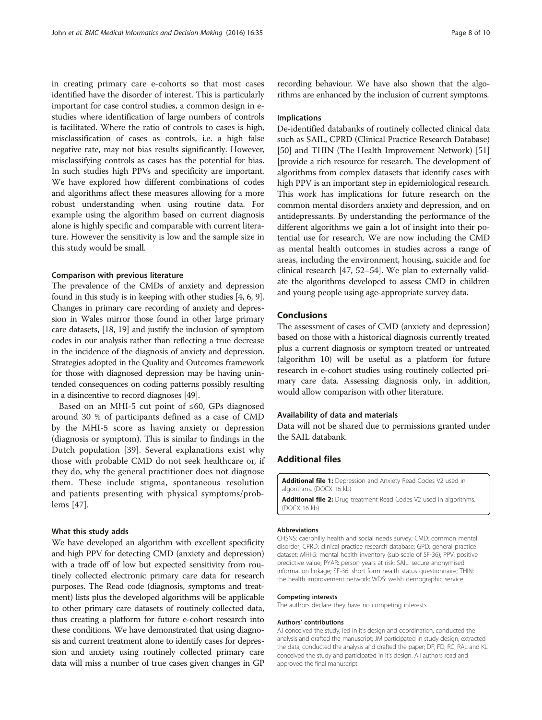in creating primary care e-cohorts so that most cases identified have the disorder of interest. This is particularly important for case control studies, a common design in estudies where identification of large numbers of controls is facilitated. Where the ratio of controls to cases is high, misclassification of cases as controls, i.e. a high false negative rate, may not bias results significantly. However, misclassifying controls as cases has the potential for bias. In such studies high PPVs and specificity are important. We have explored how different combinations of codes and algorithms affect these measures allowing for a more robust understanding when using routine data. For example using the algorithm based on current diagnosis alone is highly specific and comparable with current literature. However the sensitivity is low and the sample size in this study would be small.

# Comparison with previous literature

The prevalence of the CMDs of anxiety and depression found in this study is in keeping with other studies [4, 6, 9]. Changes in primary care recording of anxiety and depression in Wales mirror those found in other large primary care datasets, [18, 19] and justify the inclusion of symptom codes in our analysis rather than reflecting a true decrease in the incidence of the diagnosis of anxiety and depression. Strategies adopted in the Quality and Outcomes framework for those with diagnosed depression may be having unintended consequences on coding patterns possibly resulting in a disincentive to record diagnoses [49].

Based on an MHI-5 cut point of ≤60, GPs diagnosed around 30 % of participants defined as a case of CMD by the MHI-5 score as having anxiety or depression (diagnosis or symptom). This is similar to findings in the Dutch population [39]. Several explanations exist why those with probable CMD do not seek healthcare or, if they do, why the general practitioner does not diagnose them. These include stigma, spontaneous resolution and patients presenting with physical symptoms/problems [47].

## What this study adds

We have developed an algorithm with excellent specificity and high PPV for detecting CMD (anxiety and depression) with a trade off of low but expected sensitivity from routinely collected electronic primary care data for research purposes. The Read code (diagnosis, symptoms and treatment) lists plus the developed algorithms will be applicable to other primary care datasets of routinely collected data, thus creating a platform for future e-cohort research into these conditions. We have demonstrated that using diagnosis and current treatment alone to identify cases for depression and anxiety using routinely collected primary care data will miss a number of true cases given changes in GP recording behaviour. We have also shown that the algorithms are enhanced by the inclusion of current symptoms.

# Implications

De-identified databanks of routinely collected clinical data such as SAIL, CPRD (Clinical Practice Research Database) [50] and THIN (The Health Improvement Network) [51] [provide a rich resource for research. The development of algorithms from complex datasets that identify cases with high PPV is an important step in epidemiological research. This work has implications for future research on the common mental disorders anxiety and depression, and on antidepressants. By understanding the performance of the different algorithms we gain a lot of insight into their potential use for research. We are now including the CMD as mental health outcomes in studies across a range of areas, including the environment, housing, suicide and for clinical research [47, 52–54]. We plan to externally validate the algorithms developed to assess CMD in children and young people using age-appropriate survey data.

# Conclusions

The assessment of cases of CMD (anxiety and depression) based on those with a historical diagnosis currently treated plus a current diagnosis or symptom treated or untreated (algorithm 10) will be useful as a platform for future research in e-cohort studies using routinely collected primary care data. Assessing diagnosis only, in addition, would allow comparison with other literature.

#### Availability of data and materials

Data will not be shared due to permissions granted under the SAIL databank.

# Additional files

Additional file 2: Drug treatment Read Codes V2 used in algorithms. (DOCX 16 kb)

#### Abbreviations

CHSNS: caerphilly health and social needs survey; CMD: common mental disorder; CPRD: clinical practice research database; GPD: general practice dataset; MHI-5: mental health inventory (sub-scale of SF-36); PPV: positive predictive value; PYAR: person years at risk; SAIL: secure anonymised information linkage; SF-36: short form health status questionnaire; THIN: the health improvement network; WDS: welsh demographic service.

#### Competing interests

The authors declare they have no competing interests.

#### Authors' contributions

AJ conceived the study, led in it's design and coordination, conducted the analysis and drafted the manuscript; JM participated in study design, extracted the data, conducted the analysis and drafted the paper; DF, FD, RC, RAL and KL conceived the study and participated in it's design. All authors read and approved the final manuscript.

Additional file 1: Depression and Anxiety Read Codes V2 used in algorithms. (DOCX 16 kb)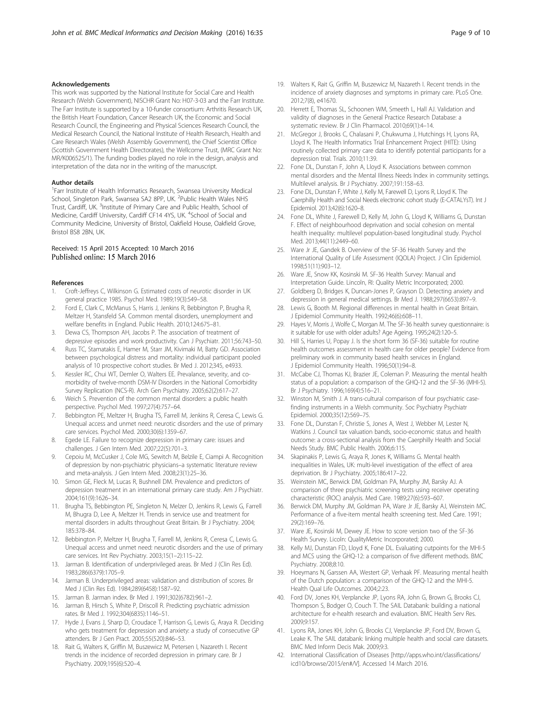#### Acknowledgements

This work was supported by the National Institute for Social Care and Health Research (Welsh Government), NISCHR Grant No: H07-3-03 and the Farr Institute. The Farr Institute is supported by a 10-funder consortium: Arthritis Research UK, the British Heart Foundation, Cancer Research UK, the Economic and Social Research Council, the Engineering and Physical Sciences Research Council, the Medical Research Council, the National Institute of Health Research, Health and Care Research Wales (Welsh Assembly Government), the Chief Scientist Office (Scottish Government Health Directorates), the Wellcome Trust, (MRC Grant No: MR/K006525/1). The funding bodies played no role in the design, analysis and interpretation of the data nor in the writing of the manuscript.

#### Author details

<sup>1</sup> Farr Institute of Health Informatics Research, Swansea University Medical School, Singleton Park, Swansea SA2 8PP, UK. <sup>2</sup>Public Health Wales NHS Trust, Cardiff, UK. <sup>3</sup>Institute of Primary Care and Public Health, School of Medicine, Cardiff University, Cardiff CF14 4YS, UK. <sup>4</sup>School of Social and Community Medicine, University of Bristol, Oakfield House, Oakfield Grove, Bristol BS8 2BN, UK.

# Received: 15 April 2015 Accepted: 10 March 2016 Published online: 15 March 2016

#### References

- 1. Croft-Jeffreys C, Wilkinson G. Estimated costs of neurotic disorder in UK general practice 1985. Psychol Med. 1989;19(3):549–58.
- 2. Ford E, Clark C, McManus S, Harris J, Jenkins R, Bebbington P, Brugha R, Meltzer H, Stansfeld SA. Common mental disorders, unemployment and welfare benefits in England. Public Health. 2010;124:675–81.
- 3. Dewa CS, Thompson AH, Jacobs P. The association of treatment of depressive episodes and work productivity. Can J Psychiatr. 2011;56:743–50.
- 4. Russ TC, Stamatakis E, Hamer M, Starr JM, Kivimaki M, Batty GD. Association between psychological distress and mortality: individual participant pooled analysis of 10 prospective cohort studies. Br Med J. 2012;345, e4933.
- 5. Kessler RC, Chui WT, Demler O, Walters EE. Prevalance, severity, and comorbidity of twelve-month DSM-IV Disorders in the National Comorbidity Survey Replication (NCS-R). Arch Gen Psychiatry. 2005;62(2):617–27.
- 6. Weich S. Prevention of the common mental disorders: a public health perspective. Psychol Med. 1997;27(4):757–64.
- 7. Bebbington PE, Meltzer H, Brugha TS, Farrell M, Jenkins R, Ceresa C, Lewis G. Unequal access and unmet need: neurotic disorders and the use of primary care services. Psychol Med. 2000;30(6):1359–67.
- 8. Egede LE. Failure to recognize depression in primary care: issues and challenges. J Gen Intern Med. 2007;22(5):701–3.
- 9. Cepoiu M, McCusker J, Cole MG, Sewitch M, Belzile E, Ciampi A. Recognition of depression by non-psychiatric physicians–a systematic literature review and meta-analysis. J Gen Intern Med. 2008;23(1):25–36.
- 10. Simon GE, Fleck M, Lucas R, Bushnell DM. Prevalence and predictors of depression treatment in an international primary care study. Am J Psychiatr. 2004;161(9):1626–34.
- 11. Brugha TS, Bebbington PE, Singleton N, Melzer D, Jenkins R, Lewis G, Farrell M, Bhugra D, Lee A, Meltzer H. Trends in service use and treatment for mental disorders in adults throughout Great Britain. Br J Psychiatry. 2004; 185:378–84.
- 12. Bebbington P, Meltzer H, Brugha T, Farrell M, Jenkins R, Ceresa C, Lewis G. Unequal access and unmet need: neurotic disorders and the use of primary care services. Int Rev Psychiatry. 2003;15(1–2):115–22.
- 13. Jarman B. Identification of underprivileged areas. Br Med J (Clin Res Ed). 1983;286(6379):1705–9.
- 14. Jarman B. Underprivileged areas: validation and distribution of scores. Br Med J (Clin Res Ed). 1984;289(6458):1587–92.
- 15. Jarman B. Jarman index. Br Med J. 1991;302(6782):961–2.
- 16. Jarman B, Hirsch S, White P, Driscoll R. Predicting psychiatric admission rates. Br Med J. 1992;304(6835):1146–51.
- 17. Hyde J, Evans J, Sharp D, Croudace T, Harrison G, Lewis G, Araya R. Deciding who gets treatment for depression and anxiety: a study of consecutive GP attenders. Br J Gen Pract. 2005;55(520):846–53.
- 18. Rait G, Walters K, Griffin M, Buszewicz M, Petersen I, Nazareth I. Recent trends in the incidence of recorded depression in primary care. Br J Psychiatry. 2009;195(6):520–4.
- 19. Walters K, Rait G, Griffin M, Buszewicz M, Nazareth I. Recent trends in the incidence of anxiety diagnoses and symptoms in primary care. PLoS One. 2012;7(8), e41670.
- 20. Herrett E, Thomas SL, Schoonen WM, Smeeth L, Hall AJ. Validation and validity of diagnoses in the General Practice Research Database: a systematic review. Br J Clin Pharmacol. 2010;69(1):4–14.
- 21. McGregor J, Brooks C, Chalasani P, Chukwuma J, Hutchings H, Lyons RA, Lloyd K. The Health Informatics Trial Enhancement Project (HITE): Using routinely collected primary care data to identify potential participants for a depression trial. Trials. 2010;11:39.
- 22. Fone DL, Dunstan F, John A, Lloyd K. Associations between common mental disorders and the Mental Illness Needs Index in community settings. Multilevel analysis. Br J Psychiatry. 2007;191:158–63.
- 23. Fone DL, Dunstan F, White J, Kelly M, Farewell D, Lyons R, Lloyd K. The Caerphilly Health and Social Needs electronic cohort study (E-CATALYsT). Int J Epidemiol. 2013;42(6):1620–8.
- 24. Fone DL, White J, Farewell D, Kelly M, John G, Lloyd K, Williams G, Dunstan F. Effect of neighbourhood deprivation and social cohesion on mental health inequality: multilevel population-based longitudinal study. Psychol Med. 2013;44(11):2449–60.
- 25. Ware Jr JE, Gandek B. Overview of the SF-36 Health Survey and the International Quality of Life Assessment (IQOLA) Project. J Clin Epidemiol. 1998;51(11):903–12.
- 26. Ware JE, Snow KK, Kosinski M. SF-36 Health Survey: Manual and Interpretation Guide. Lincoln, RI: Quality Metric Incorporated; 2000.
- 27. Goldberg D, Bridges K, Duncan-Jones P, Grayson D. Detecting anxiety and depression in general medical settings. Br Med J. 1988;297(6653):897–9.
- 28. Lewis G, Booth M. Regional differences in mental health in Great Britain. J Epidemiol Community Health. 1992;46(6):608–11.
- 29. Hayes V, Morris J, Wolfe C, Morgan M. The SF-36 health survey questionnaire: is it suitable for use with older adults? Age Ageing. 1995;24(2):120–5.
- 30. Hill S, Harries U, Popay J. Is the short form 36 (SF-36) suitable for routine health outcomes assessment in health care for older people? Evidence from preliminary work in community based health services in England. J Epidemiol Community Health. 1996;50(1):94–8.
- 31. McCabe CJ, Thomas KJ, Brazier JE, Coleman P. Measuring the mental health status of a population: a comparison of the GHQ-12 and the SF-36 (MHI-5). Br J Psychiatry. 1996;169(4):516–21.
- 32. Winston M, Smith J. A trans-cultural comparison of four psychiatric casefinding instruments in a Welsh community. Soc Psychiatry Psychiatr Epidemiol. 2000;35(12):569–75.
- 33. Fone DL, Dunstan F, Christie S, Jones A, West J, Webber M, Lester N, Watkins J. Council tax valuation bands, socio-economic status and health outcome: a cross-sectional analysis from the Caerphilly Health and Social Needs Study. BMC Public Health. 2006;6:115.
- 34. Skapinakis P, Lewis G, Araya R, Jones K, Williams G. Mental health inequalities in Wales, UK: multi-level investigation of the effect of area deprivation. Br J Psychiatry. 2005;186:417–22.
- 35. Weinstein MC, Berwick DM, Goldman PA, Murphy JM, Barsky AJ. A comparison of three psychiatric screening tests using receiver operating characteristic (ROC) analysis. Med Care. 1989;27(6):593–607.
- 36. Berwick DM, Murphy JM, Goldman PA, Ware Jr JE, Barsky AJ, Weinstein MC. Performance of a five-item mental health screening test. Med Care. 1991; 29(2):169–76.
- 37. Ware JE, Kosinski M, Dewey JE. How to score version two of the SF-36 Health Survey. Licoln: QualityMetric Incorporated; 2000.
- 38. Kelly MJ, Dunstan FD, Lloyd K, Fone DL. Evaluating cutpoints for the MHI-5 and MCS using the GHQ-12: a comparison of five different methods. BMC Psychiatry. 2008;8:10.
- 39. Hoeymans N, Garssen AA, Westert GP, Verhaak PF. Measuring mental health of the Dutch population: a comparison of the GHQ-12 and the MHI-5. Health Qual Life Outcomes. 2004;2:23.
- 40. Ford DV, Jones KH, Verplancke JP, Lyons RA, John G, Brown G, Brooks CJ, Thompson S, Bodger O, Couch T. The SAIL Databank: building a national architecture for e-health research and evaluation. BMC Health Serv Res. 2009;9:157.
- 41. Lyons RA, Jones KH, John G, Brooks CJ, Verplancke JP, Ford DV, Brown G, Leake K. The SAIL databank: linking multiple health and social care datasets. BMC Med Inform Decis Mak. 2009;9:3.
- 42. International Classification of Diseases [http://apps.who.int/classifications/ icd10/browse/2015/en#/V]. Accessed 14 March 2016.